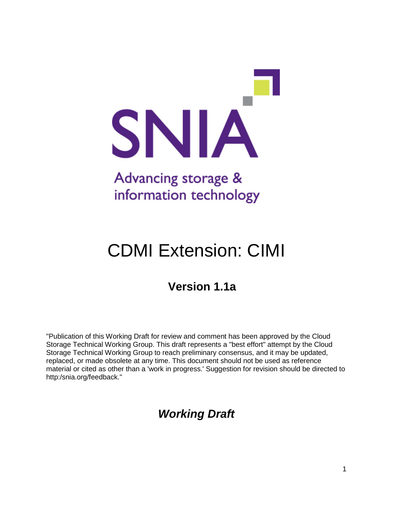

# CDMI Extension: CIMI

## **Version 1.1a**

"Publication of this Working Draft for review and comment has been approved by the Cloud Storage Technical Working Group. This draft represents a "best effort" attempt by the Cloud Storage Technical Working Group to reach preliminary consensus, and it may be updated, replaced, or made obsolete at any time. This document should not be used as reference material or cited as other than a 'work in progress.' Suggestion for revision should be directed to http:/snia.org/feedback."

### *Working Draft*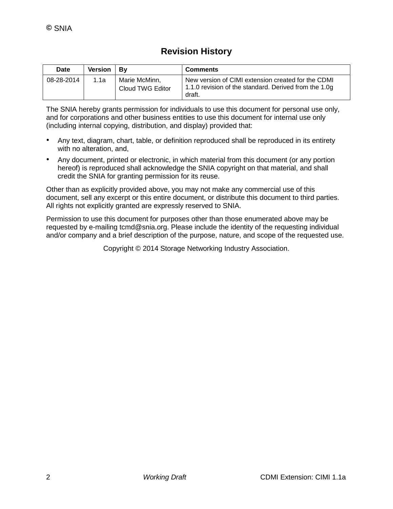### **Revision History**

| Date       | <b>Version</b> | Βv                                | <b>Comments</b>                                                                                                       |
|------------|----------------|-----------------------------------|-----------------------------------------------------------------------------------------------------------------------|
| 08-28-2014 | 1.1a           | Marie McMinn.<br>Cloud TWG Editor | New version of CIMI extension created for the CDMI<br>1.1.0 revision of the standard. Derived from the 1.0g<br>draft. |

The SNIA hereby grants permission for individuals to use this document for personal use only, and for corporations and other business entities to use this document for internal use only (including internal copying, distribution, and display) provided that:

- Any text, diagram, chart, table, or definition reproduced shall be reproduced in its entirety with no alteration, and,
- Any document, printed or electronic, in which material from this document (or any portion hereof) is reproduced shall acknowledge the SNIA copyright on that material, and shall credit the SNIA for granting permission for its reuse.

Other than as explicitly provided above, you may not make any commercial use of this document, sell any excerpt or this entire document, or distribute this document to third parties. All rights not explicitly granted are expressly reserved to SNIA.

Permission to use this document for purposes other than those enumerated above may be requested by e-mailing tcmd@snia.org. Please include the identity of the requesting individual and/or company and a brief description of the purpose, nature, and scope of the requested use.

Copyright © 2014 Storage Networking Industry Association.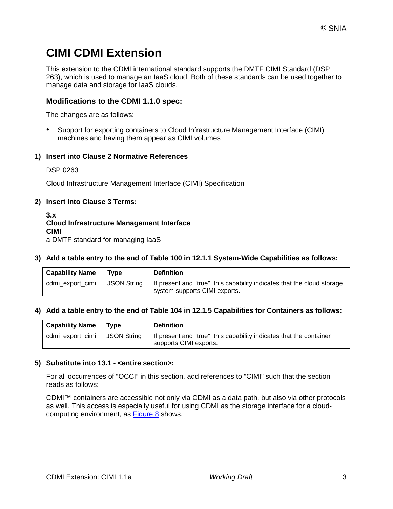### **CIMI CDMI Extension**

This extension to the CDMI international standard supports the DMTF CIMI Standard (DSP 263), which is used to manage an IaaS cloud. Both of these standards can be used together to manage data and storage for IaaS clouds.

#### **Modifications to the CDMI 1.1.0 spec:**

The changes are as follows:

• Support for exporting containers to Cloud Infrastructure Management Interface (CIMI) machines and having them appear as CIMI volumes

#### **1) Insert into Clause 2 Normative References**

#### DSP 0263

Cloud Infrastructure Management Interface (CIMI) Specification

#### **2) Insert into Clause 3 Terms:**

**3.x Cloud Infrastructure Management Interface CIMI** a DMTF standard for managing IaaS

**3) Add a table entry to the end of Table 100 in 12.1.1 System-Wide Capabilities as follows:**

| <b>Capability Name</b> | Tvpe               | <b>Definition</b>                                                                                        |
|------------------------|--------------------|----------------------------------------------------------------------------------------------------------|
| cdmi export cimi       | <b>JSON String</b> | If present and "true", this capability indicates that the cloud storage<br>system supports CIMI exports. |

#### **4) Add a table entry to the end of Table 104 in 12.1.5 Capabilities for Containers as follows:**

| <b>Capability Name</b> | Tvpe        | <b>Definition</b>                                                                             |
|------------------------|-------------|-----------------------------------------------------------------------------------------------|
| cdmi export cimi       | JSON String | If present and "true", this capability indicates that the container<br>supports CIMI exports. |

#### **5) Substitute into 13.1 - <entire section>:**

For all occurrences of "OCCI" in this section, add references to "CIMI" such that the section reads as follows:

CDMI™ containers are accessible not only via CDMI as a data path, but also via other protocols as well. This access is especially useful for using CDMI as the storage interface for a cloudcomputing environment, as [Figure 8](http://cdmi.sniacloud.com/CDMI_Spec/13-Exported_Protocols/13-Exported_Protocols.htm%23XREF_36037_Figure_9_CDMI_and) shows.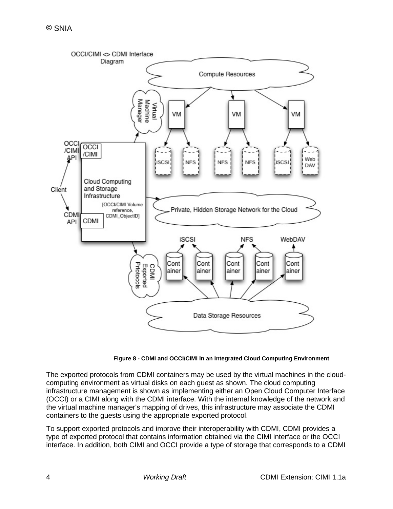

**Figure 8 - CDMI and OCCI/CIMI in an Integrated Cloud Computing Environment**

The exported protocols from CDMI containers may be used by the virtual machines in the cloudcomputing environment as virtual disks on each guest as shown. The cloud computing infrastructure management is shown as implementing either an Open Cloud Computer Interface (OCCI) or a CIMI along with the CDMI interface. With the internal knowledge of the network and the virtual machine manager's mapping of drives, this infrastructure may associate the CDMI containers to the guests using the appropriate exported protocol.

To support exported protocols and improve their interoperability with CDMI, CDMI provides a type of exported protocol that contains information obtained via the CIMI interface or the OCCI interface. In addition, both CIMI and OCCI provide a type of storage that corresponds to a CDMI